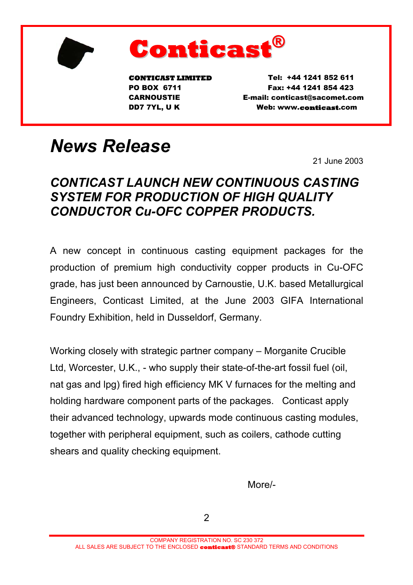



**CONTICAST LIMITED** Tel: +44 1241 852 611 PO BOX 6711 Fax: +44 1241 854 423 CARNOUSTIE E-mail: conticast@sacomet.com DD7 7YL, U K Web: www.conticast.com

## *News Release*

21 June 2003

## *CONTICAST LAUNCH NEW CONTINUOUS CASTING SYSTEM FOR PRODUCTION OF HIGH QUALITY CONDUCTOR Cu-OFC COPPER PRODUCTS.*

A new concept in continuous casting equipment packages for the production of premium high conductivity copper products in Cu-OFC grade, has just been announced by Carnoustie, U.K. based Metallurgical Engineers, Conticast Limited, at the June 2003 GIFA International Foundry Exhibition, held in Dusseldorf, Germany.

Working closely with strategic partner company – Morganite Crucible Ltd, Worcester, U.K., - who supply their state-of-the-art fossil fuel (oil, nat gas and lpg) fired high efficiency MK V furnaces for the melting and holding hardware component parts of the packages. Conticast apply their advanced technology, upwards mode continuous casting modules, together with peripheral equipment, such as coilers, cathode cutting shears and quality checking equipment.

**More/-** The contract of the contract of the More/-

2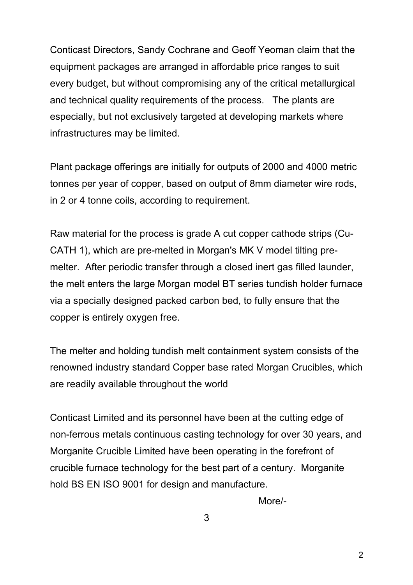Conticast Directors, Sandy Cochrane and Geoff Yeoman claim that the equipment packages are arranged in affordable price ranges to suit every budget, but without compromising any of the critical metallurgical and technical quality requirements of the process. The plants are especially, but not exclusively targeted at developing markets where infrastructures may be limited.

Plant package offerings are initially for outputs of 2000 and 4000 metric tonnes per year of copper, based on output of 8mm diameter wire rods, in 2 or 4 tonne coils, according to requirement.

Raw material for the process is grade A cut copper cathode strips (Cu-CATH 1), which are pre-melted in Morgan's MK V model tilting premelter. After periodic transfer through a closed inert gas filled launder, the melt enters the large Morgan model BT series tundish holder furnace via a specially designed packed carbon bed, to fully ensure that the copper is entirely oxygen free.

The melter and holding tundish melt containment system consists of the renowned industry standard Copper base rated Morgan Crucibles, which are readily available throughout the world

Conticast Limited and its personnel have been at the cutting edge of non-ferrous metals continuous casting technology for over 30 years, and Morganite Crucible Limited have been operating in the forefront of crucible furnace technology for the best part of a century. Morganite hold BS EN ISO 9001 for design and manufacture.

More/-

3